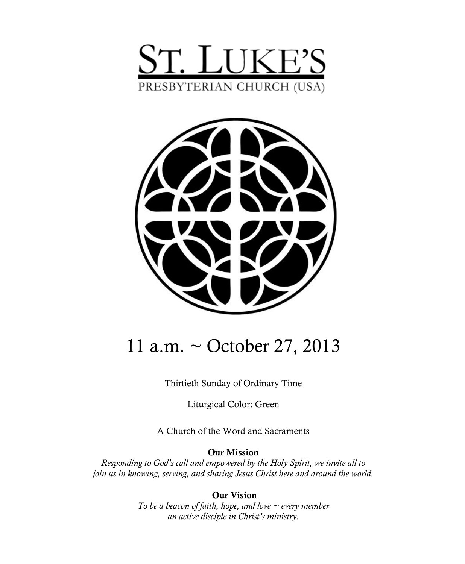



# 11 a.m. ~ October 27, 2013

Thirtieth Sunday of Ordinary Time

Liturgical Color: Green

A Church of the Word and Sacraments

#### **Our Mission**

*Responding to God's call and empowered by the Holy Spirit, we invite all to join us in knowing, serving, and sharing Jesus Christ here and around the world.*

> **Our Vision** *To be a beacon of faith, hope, and love ~ every member an active disciple in Christ's ministry.*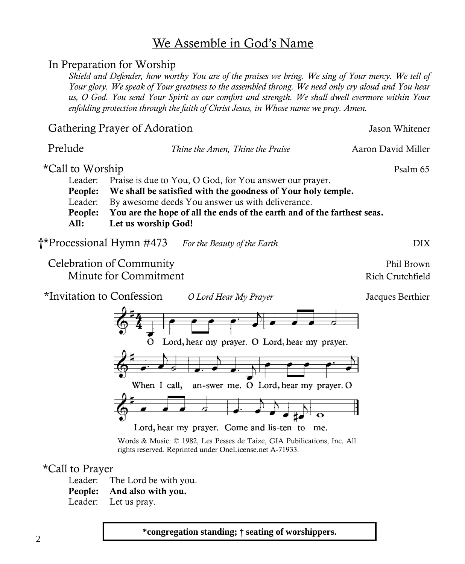# We Assemble in God's Name

# In Preparation for Worship

*Shield and Defender, how worthy You are of the praises we bring. We sing of Your mercy. We tell of Your glory. We speak of Your greatness to the assembled throng. We need only cry aloud and You hear us, O God. You send Your Spirit as our comfort and strength. We shall dwell evermore within Your enfolding protection through the faith of Christ Jesus, in Whose name we pray. Amen.*

| Gathering Prayer of Adoration                                        | Jason Whitener                                                                                                                                                                                                                                                                |                    |
|----------------------------------------------------------------------|-------------------------------------------------------------------------------------------------------------------------------------------------------------------------------------------------------------------------------------------------------------------------------|--------------------|
| Prelude                                                              | Thine the Amen, Thine the Praise                                                                                                                                                                                                                                              | Aaron David Miller |
| *Call to Worship<br>Leader:<br>People:<br>Leader:<br>People:<br>All: | Praise is due to You, O God, for You answer our prayer.<br>We shall be satisfied with the goodness of Your holy temple.<br>By awesome deeds You answer us with deliverance.<br>You are the hope of all the ends of the earth and of the farthest seas.<br>Let us worship God! | Psalm 65           |
| <b>†*Processional Hymn #473</b>                                      | For the Beauty of the Earth                                                                                                                                                                                                                                                   | DIX                |

Celebration of Community **Phil Brown** Minute for Commitment and Rich Crutchfield

\*Invitation to Confession *O Lord Hear My Prayer* Jacques Berthier



Lord, hear my prayer. Come and lis-ten to me.

Words & Music: © 1982, Les Pesses de Taize, GIA Pubilications, Inc. All rights reserved. Reprinted under OneLicense.net A-71933.

#### \*Call to Prayer

Leader: The Lord be with you.

- **People: And also with you.**
- Leader: Let us pray.

**\*congregation standing;** † **seating of worshippers.**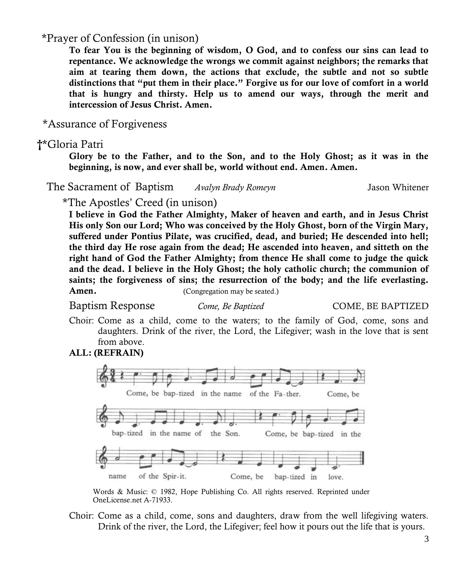\*Prayer of Confession (in unison)

**To fear You is the beginning of wisdom, O God, and to confess our sins can lead to repentance. We acknowledge the wrongs we commit against neighbors; the remarks that aim at tearing them down, the actions that exclude, the subtle and not so subtle distinctions that "put them in their place." Forgive us for our love of comfort in a world that is hungry and thirsty. Help us to amend our ways, through the merit and intercession of Jesus Christ. Amen.**

\*Assurance of Forgiveness

## **†**\*Gloria Patri

**Glory be to the Father, and to the Son, and to the Holy Ghost; as it was in the beginning, is now, and ever shall be, world without end. Amen. Amen.**

The Sacrament of Baptism *Avalyn Brady Romeyn* Jason Whitener

\*The Apostles' Creed (in unison)

**I believe in God the Father Almighty, Maker of heaven and earth, and in Jesus Christ His only Son our Lord; Who was conceived by the Holy Ghost, born of the Virgin Mary, suffered under Pontius Pilate, was crucified, dead, and buried; He descended into hell; the third day He rose again from the dead; He ascended into heaven, and sitteth on the right hand of God the Father Almighty; from thence He shall come to judge the quick and the dead. I believe in the Holy Ghost; the holy catholic church; the communion of saints; the forgiveness of sins; the resurrection of the body; and the life everlasting. Amen.** (Congregation may be seated.)

Baptism Response *Come, Be Baptized* COME, BE BAPTIZED

Choir: Come as a child, come to the waters; to the family of God, come, sons and daughters. Drink of the river, the Lord, the Lifegiver; wash in the love that is sent from above.

#### **ALL: (REFRAIN)**



Words & Music: © 1982, Hope Publishing Co. All rights reserved. Reprinted under OneLicense.net A-71933.

Choir: Come as a child, come, sons and daughters, draw from the well lifegiving waters. Drink of the river, the Lord, the Lifegiver; feel how it pours out the life that is yours.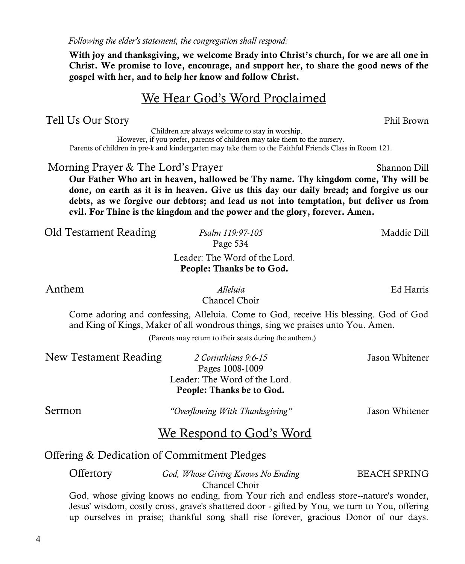*Following the elder's statement, the congregation shall respond:*

**With joy and thanksgiving, we welcome Brady into Christ's church, for we are all one in Christ. We promise to love, encourage, and support her, to share the good news of the gospel with her, and to help her know and follow Christ.**

# We Hear God's Word Proclaimed

# Tell Us Our Story **Phil Brown**

 Children are always welcome to stay in worship. However, if you prefer, parents of children may take them to the nursery. Parents of children in pre-k and kindergarten may take them to the Faithful Friends Class in Room 121.

## Morning Prayer & The Lord's Prayer Shannon Dill

**Our Father Who art in heaven, hallowed be Thy name. Thy kingdom come, Thy will be done, on earth as it is in heaven. Give us this day our daily bread; and forgive us our debts, as we forgive our debtors; and lead us not into temptation, but deliver us from evil. For Thine is the kingdom and the power and the glory, forever. Amen.**

|  | Old Testament Reading |
|--|-----------------------|
|--|-----------------------|

# Leader: The Word of the Lord. **People: Thanks be to God.**

Page 534

 Anthem *Alleluia* Ed Harris Chancel Choir

Come adoring and confessing, Alleluia. Come to God, receive His blessing. God of God and King of Kings, Maker of all wondrous things, sing we praises unto You. Amen.

(Parents may return to their seats during the anthem.)

| New Testament Reading | 2 Corinthians 9:6-15          | Jason Whitener |
|-----------------------|-------------------------------|----------------|
|                       | Pages 1008-1009               |                |
|                       | Leader: The Word of the Lord. |                |
|                       | People: Thanks be to God.     |                |

Sermon *"Overflowing With Thanksgiving"* Jason Whitener

# We Respond to God's Word

## Offering & Dedication of Commitment Pledges

Offertory *God, Whose Giving Knows No Ending* BEACH SPRING Chancel Choir

God, whose giving knows no ending, from Your rich and endless store--nature's wonder, Jesus' wisdom, costly cross, grave's shattered door - gifted by You, we turn to You, offering up ourselves in praise; thankful song shall rise forever, gracious Donor of our days.

Old Testament Reading *Psalm 119:97-105* Maddie Dill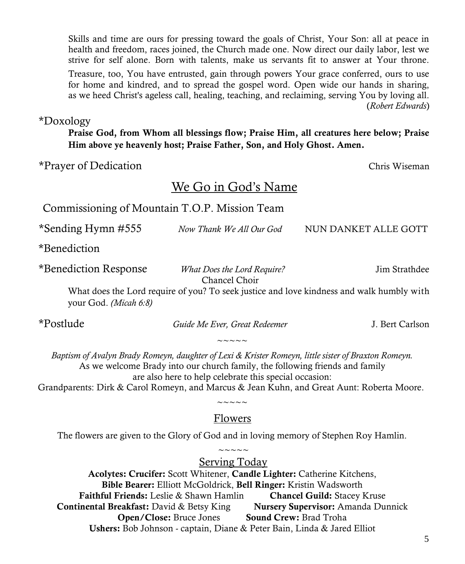Skills and time are ours for pressing toward the goals of Christ, Your Son: all at peace in health and freedom, races joined, the Church made one. Now direct our daily labor, lest we strive for self alone. Born with talents, make us servants fit to answer at Your throne. Treasure, too, You have entrusted, gain through powers Your grace conferred, ours to use for home and kindred, and to spread the gospel word. Open wide our hands in sharing, as we heed Christ's ageless call, healing, teaching, and reclaiming, serving You by loving all. (*Robert Edwards*)

\*Doxology

**Praise God, from Whom all blessings flow; Praise Him, all creatures here below; Praise Him above ye heavenly host; Praise Father, Son, and Holy Ghost. Amen.**

\*Prayer of Dedication Chris Wiseman

# We Go in God's Name

# Commissioning of Mountain T.O.P. Mission Team

| *Sending Hymn #555                                                                        | Now Thank We All Our God                                                                                                                                                                                                                      | NUN DANKET ALLE GOTT                                                                      |
|-------------------------------------------------------------------------------------------|-----------------------------------------------------------------------------------------------------------------------------------------------------------------------------------------------------------------------------------------------|-------------------------------------------------------------------------------------------|
| *Benediction                                                                              |                                                                                                                                                                                                                                               |                                                                                           |
| *Benediction Response                                                                     | What Does the Lord Require?<br>Chancel Choir                                                                                                                                                                                                  | Jim Strathdee                                                                             |
| your God. (Micah 6:8)                                                                     |                                                                                                                                                                                                                                               | What does the Lord require of you? To seek justice and love kindness and walk humbly with |
| *Postlude                                                                                 | Guide Me Ever, Great Redeemer                                                                                                                                                                                                                 | J. Bert Carlson                                                                           |
|                                                                                           |                                                                                                                                                                                                                                               |                                                                                           |
| Grandparents: Dirk & Carol Romeyn, and Marcus & Jean Kuhn, and Great Aunt: Roberta Moore. | Baptism of Avalyn Brady Romeyn, daughter of Lexi & Krister Romeyn, little sister of Braxton Romeyn.<br>As we welcome Brady into our church family, the following friends and family<br>are also here to help celebrate this special occasion: |                                                                                           |
|                                                                                           |                                                                                                                                                                                                                                               |                                                                                           |

# Flowers

The flowers are given to the Glory of God and in loving memory of Stephen Roy Hamlin.  $\sim\sim\sim\sim\sim$ 

Serving Today

**Acolytes: Crucifer:** Scott Whitener, **Candle Lighter:** Catherine Kitchens, **Bible Bearer:** Elliott McGoldrick, **Bell Ringer:** Kristin Wadsworth **Faithful Friends:** Leslie & Shawn Hamlin **Chancel Guild:** Stacey Kruse **Continental Breakfast:** David & Betsy King **Nursery Supervisor:** Amanda Dunnick **Open/Close:** Bruce Jones **Sound Crew:** Brad Troha **Ushers:** Bob Johnson - captain, Diane & Peter Bain, Linda & Jared Elliot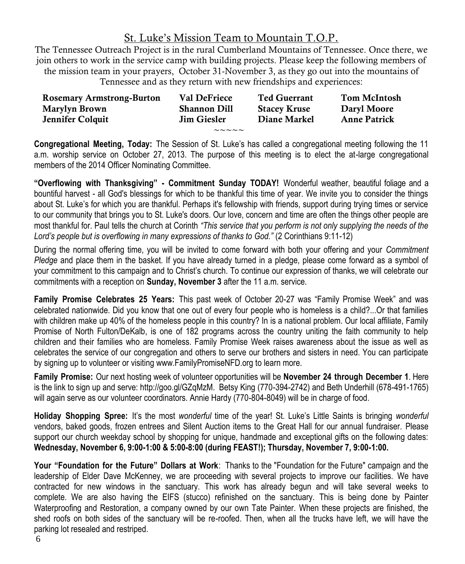# St. Luke's Mission Team to Mountain T.O.P.

The Tennessee Outreach Project is in the rural Cumberland Mountains of Tennessee. Once there, we join others to work in the service camp with building projects. Please keep the following members of the mission team in your prayers, October 31-November 3, as they go out into the mountains of Tennessee and as they return with new friendships and experiences:

| <b>Rosemary Armstrong-Burton</b> | Val DeFriece           | <b>Ted Guerrant</b> | <b>Tom McIntosh</b> |
|----------------------------------|------------------------|---------------------|---------------------|
| Marylyn Brown                    | <b>Shannon Dill</b>    | <b>Stacey Kruse</b> | Daryl Moore         |
| Jennifer Colquit                 | <b>Jim Giesler</b>     | Diane Markel        | <b>Anne Patrick</b> |
|                                  | $\sim\sim\sim\sim\sim$ |                     |                     |

**Congregational Meeting, Today:** The Session of St. Luke's has called a congregational meeting following the 11 a.m. worship service on October 27, 2013. The purpose of this meeting is to elect the at-large congregational members of the 2014 Officer Nominating Committee.

**"Overflowing with Thanksgiving" - Commitment Sunday TODAY!** Wonderful weather, beautiful foliage and a bountiful harvest - all God's blessings for which to be thankful this time of year. We invite you to consider the things about St. Luke's for which you are thankful. Perhaps it's fellowship with friends, support during trying times or service to our community that brings you to St. Luke's doors. Our love, concern and time are often the things other people are most thankful for. Paul tells the church at Corinth *"This service that you perform is not only supplying the needs of the Lord's people but is overflowing in many expressions of thanks to God."* (2 Corinthians 9:11-12)

During the normal offering time, you will be invited to come forward with both your offering and your *Commitment Pledge* and place them in the basket. If you have already turned in a pledge, please come forward as a symbol of your commitment to this campaign and to Christ's church. To continue our expression of thanks, we will celebrate our commitments with a reception on **Sunday, November 3** after the 11 a.m. service.

**Family Promise Celebrates 25 Years:** This past week of October 20-27 was "Family Promise Week" and was celebrated nationwide. Did you know that one out of every four people who is homeless is a child?...Or that families with children make up 40% of the homeless people in this country? In is a national problem. Our local affiliate, Family Promise of North Fulton/DeKalb, is one of 182 programs across the country uniting the faith community to help children and their families who are homeless. Family Promise Week raises awareness about the issue as well as celebrates the service of our congregation and others to serve our brothers and sisters in need. You can participate by signing up to volunteer or visiting www.FamilyPromiseNFD.org to learn more.

**Family Promise:** Our next hosting week of volunteer opportunities will be **November 24 through December 1**. Here is the link to sign up and serve: http://goo.gl/GZqMzM. Betsy King (770-394-2742) and Beth Underhill (678-491-1765) will again serve as our volunteer coordinators. Annie Hardy (770-804-8049) will be in charge of food.

**Holiday Shopping Spree:** It's the most *wonderful* time of the year! St. Luke's Little Saints is bringing *wonderful* vendors, baked goods, frozen entrees and Silent Auction items to the Great Hall for our annual fundraiser. Please support our church weekday school by shopping for unique, handmade and exceptional gifts on the following dates: **Wednesday, November 6, 9:00-1:00 & 5:00-8:00 (during FEAST!); Thursday, November 7, 9:00-1:00.** 

**Your "Foundation for the Future" Dollars at Work**: Thanks to the "Foundation for the Future" campaign and the leadership of Elder Dave McKenney, we are proceeding with several projects to improve our facilities. We have contracted for new windows in the sanctuary. This work has already begun and will take several weeks to complete. We are also having the EIFS (stucco) refinished on the sanctuary. This is being done by Painter Waterproofing and Restoration, a company owned by our own Tate Painter. When these projects are finished, the shed roofs on both sides of the sanctuary will be re-roofed. Then, when all the trucks have left, we will have the parking lot resealed and restriped.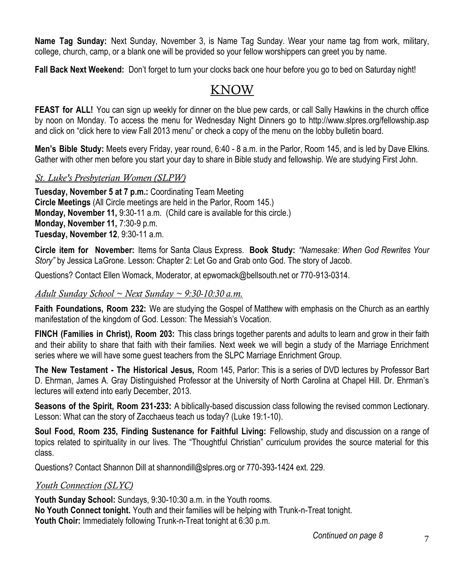**Name Tag Sunday:** Next Sunday, November 3, is Name Tag Sunday. Wear your name tag from work, military, college, church, camp, or a blank one will be provided so your fellow worshippers can greet you by name.

**Fall Back Next Weekend:** Don't forget to turn your clocks back one hour before you go to bed on Saturday night!

# KNOW

**FEAST for ALL!** You can sign up weekly for dinner on the blue pew cards, or call Sally Hawkins in the church office by noon on Monday. To access the menu for Wednesday Night Dinners go to http://www.slpres.org/fellowship.asp and click on "click here to view Fall 2013 menu" or check a copy of the menu on the lobby bulletin board.

**Men's Bible Study:** Meets every Friday, year round, 6:40 - 8 a.m. in the Parlor, Room 145, and is led by Dave Elkins. Gather with other men before you start your day to share in Bible study and fellowship. We are studying First John.

## *St. Luke's Presbyterian Women (SLPW)*

**Tuesday, November 5 at 7 p.m.:** Coordinating Team Meeting **Circle Meetings** (All Circle meetings are held in the Parlor, Room 145.) **Monday, November 11,** 9:30-11 a.m. (Child care is available for this circle.) **Monday, November 11,** 7:30-9 p.m. **Tuesday, November 12**, 9:30-11 a.m.

**Circle item for November:** Items for Santa Claus Express. **Book Study:** *"Namesake: When God Rewrites Your Story"* by Jessica LaGrone. Lesson: Chapter 2: Let Go and Grab onto God. The story of Jacob.

Questions? Contact Ellen Womack, Moderator, at epwomack@bellsouth.net or 770-913-0314.

#### *Adult Sunday School ~ Next Sunday ~ 9:30-10:30 a.m.*

**Faith Foundations, Room 232:** We are studying the Gospel of Matthew with emphasis on the Church as an earthly manifestation of the kingdom of God. Lesson: The Messiah's Vocation.

**FINCH (Families in Christ), Room 203:** This class brings together parents and adults to learn and grow in their faith and their ability to share that faith with their families. Next week we will begin a study of the Marriage Enrichment series where we will have some guest teachers from the SLPC Marriage Enrichment Group.

**The New Testament - The Historical Jesus,** Room 145, Parlor: This is a series of DVD lectures by Professor Bart D. Ehrman, James A. Gray Distinguished Professor at the University of North Carolina at Chapel Hill. Dr. Ehrman's lectures will extend into early December, 2013.

**Seasons of the Spirit, Room 231-233:** A biblically-based discussion class following the revised common Lectionary. Lesson: What can the story of Zacchaeus teach us today? (Luke 19:1-10).

**Soul Food, Room 235, Finding Sustenance for Faithful Living:** Fellowship, study and discussion on a range of topics related to spirituality in our lives. The "Thoughtful Christian" curriculum provides the source material for this class.

Questions? Contact Shannon Dill at shannondill@slpres.org or 770-393-1424 ext. 229.

#### *Youth Connection (SLYC)*

**Youth Sunday School:** Sundays, 9:30-10:30 a.m. in the Youth rooms. **No Youth Connect tonight.** Youth and their families will be helping with Trunk-n-Treat tonight. **Youth Choir:** Immediately following Trunk-n-Treat tonight at 6:30 p.m.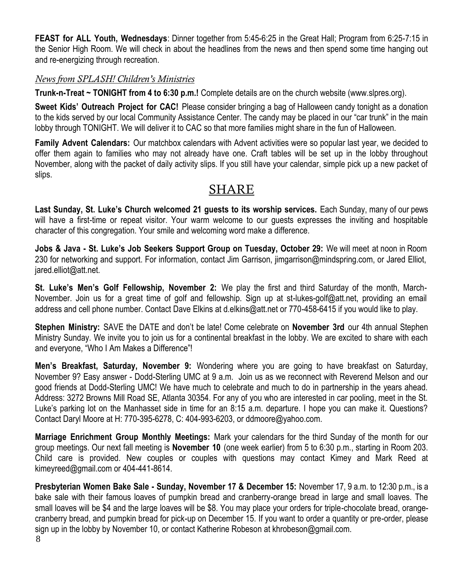**FEAST for ALL Youth, Wednesdays**: Dinner together from 5:45-6:25 in the Great Hall; Program from 6:25-7:15 in the Senior High Room. We will check in about the headlines from the news and then spend some time hanging out and re-energizing through recreation.

#### *News from SPLASH! Children's Ministries*

**Trunk-n-Treat ~ TONIGHT from 4 to 6:30 p.m.!** Complete details are on the church website (www.slpres.org).

**Sweet Kids' Outreach Project for CAC!** Please consider bringing a bag of Halloween candy tonight as a donation to the kids served by our local Community Assistance Center. The candy may be placed in our "car trunk" in the main lobby through TONIGHT. We will deliver it to CAC so that more families might share in the fun of Halloween.

**Family Advent Calendars:** Our matchbox calendars with Advent activities were so popular last year, we decided to offer them again to families who may not already have one. Craft tables will be set up in the lobby throughout November, along with the packet of daily activity slips. If you still have your calendar, simple pick up a new packet of slips.

# SHARE

**Last Sunday, St. Luke's Church welcomed 21 guests to its worship services.** Each Sunday, many of our pews will have a first-time or repeat visitor. Your warm welcome to our guests expresses the inviting and hospitable character of this congregation. Your smile and welcoming word make a difference.

**Jobs & Java - St. Luke's Job Seekers Support Group on Tuesday, October 29:** We will meet at noon in Room 230 for networking and support. For information, contact Jim Garrison, jimgarrison@mindspring.com, or Jared Elliot, jared.elliot@att.net.

**St. Luke's Men's Golf Fellowship, November 2:** We play the first and third Saturday of the month, March-November. Join us for a great time of golf and fellowship. Sign up at st-lukes-golf@att.net, providing an email address and cell phone number. Contact Dave Elkins at d.elkins@att.net or 770-458-6415 if you would like to play.

**Stephen Ministry:** SAVE the DATE and don't be late! Come celebrate on **November 3rd** our 4th annual Stephen Ministry Sunday. We invite you to join us for a continental breakfast in the lobby. We are excited to share with each and everyone, "Who I Am Makes a Difference"!

**Men's Breakfast, Saturday, November 9:** Wondering where you are going to have breakfast on Saturday, November 9? Easy answer - Dodd-Sterling UMC at 9 a.m. Join us as we reconnect with Reverend Melson and our good friends at Dodd-Sterling UMC! We have much to celebrate and much to do in partnership in the years ahead. Address: 3272 Browns Mill Road SE, Atlanta 30354. For any of you who are interested in car pooling, meet in the St. Luke's parking lot on the Manhasset side in time for an 8:15 a.m. departure. I hope you can make it. Questions? Contact Daryl Moore at H: 770-395-6278, C: 404-993-6203, or ddmoore@yahoo.com.

**Marriage Enrichment Group Monthly Meetings:** Mark your calendars for the third Sunday of the month for our group meetings. Our next fall meeting is **November 10** (one week earlier) from 5 to 6:30 p.m., starting in Room 203. Child care is provided. New couples or couples with questions may contact Kimey and Mark Reed at kimeyreed@gmail.com or 404-441-8614.

**Presbyterian Women Bake Sale - Sunday, November 17 & December 15:** November 17, 9 a.m. to 12:30 p.m., is a bake sale with their famous loaves of pumpkin bread and cranberry-orange bread in large and small loaves. The small loaves will be \$4 and the large loaves will be \$8. You may place your orders for triple-chocolate bread, orangecranberry bread, and pumpkin bread for pick-up on December 15. If you want to order a quantity or pre-order, please sign up in the lobby by November 10, or contact Katherine Robeson at khrobeson@gmail.com.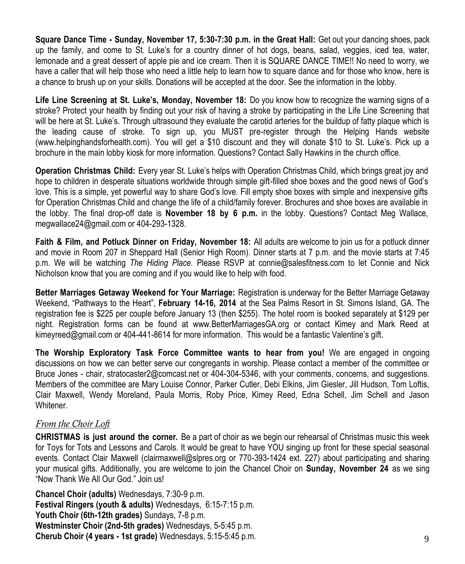**Square Dance Time - Sunday, November 17, 5:30-7:30 p.m. in the Great Hall:** Get out your dancing shoes, pack up the family, and come to St. Luke's for a country dinner of hot dogs, beans, salad, veggies, iced tea, water, lemonade and a great dessert of apple pie and ice cream. Then it is SQUARE DANCE TIME!! No need to worry, we have a caller that will help those who need a little help to learn how to square dance and for those who know, here is a chance to brush up on your skills. Donations will be accepted at the door. See the information in the lobby.

**Life Line Screening at St. Luke's, Monday, November 18:** Do you know how to recognize the warning signs of a stroke? Protect your health by finding out your risk of having a stroke by participating in the Life Line Screening that will be here at St. Luke's. Through ultrasound they evaluate the carotid arteries for the buildup of fatty plaque which is the leading cause of stroke. To sign up, you MUST pre-register through the Helping Hands website (www.helpinghandsforhealth.com). You will get a \$10 discount and they will donate \$10 to St. Luke's. Pick up a brochure in the main lobby kiosk for more information. Questions? Contact Sally Hawkins in the church office.

**Operation Christmas Child:** Every year St. Luke's helps with Operation Christmas Child, which brings great joy and hope to children in desperate situations worldwide through simple gift-filled shoe boxes and the good news of God's love. This is a simple, yet powerful way to share God's love. Fill empty shoe boxes with simple and inexpensive gifts for Operation Christmas Child and change the life of a child/family forever. Brochures and shoe boxes are available in the lobby. The final drop-off date is **November 18 by 6 p.m.** in the lobby. Questions? Contact Meg Wallace, megwallace24@gmail.com or 404-293-1328.

**Faith & Film, and Potluck Dinner on Friday, November 18:** All adults are welcome to join us for a potluck dinner and movie in Room 207 in Sheppard Hall (Senior High Room). Dinner starts at 7 p.m. and the movie starts at 7:45 p.m. We will be watching *The Hiding Place.* Please RSVP at connie@salesfitness.com to let Connie and Nick Nicholson know that you are coming and if you would like to help with food.

**Better Marriages Getaway Weekend for Your Marriage:** Registration is underway for the Better Marriage Getaway Weekend, "Pathways to the Heart", **February 14-16, 2014** at the Sea Palms Resort in St. Simons Island, GA. The registration fee is \$225 per couple before January 13 (then \$255). The hotel room is booked separately at \$129 per night. Registration forms can be found at www.BetterMarriagesGA.org or contact Kimey and Mark Reed at kimeyreed@gmail.com or 404-441-8614 for more information. This would be a fantastic Valentine's gift.

**The Worship Exploratory Task Force Committee wants to hear from you!** We are engaged in ongoing discussions on how we can better serve our congregants in worship. Please contact a member of the committee or Bruce Jones - chair, [stratocaster2@comcast.net o](mailto:stratocaster2@comcast.net)r 404-304-5346, with your comments, concerns, and suggestions. Members of the committee are Mary Louise Connor, Parker Cutler, Debi Elkins, Jim Giesler, Jill Hudson, Tom Loftis, Clair Maxwell, Wendy Moreland, Paula Morris, Roby Price, Kimey Reed, Edna Schell, Jim Schell and Jason Whitener.

## *From the Choir Loft*

**CHRISTMAS is just around the corner.** Be a part of choir as we begin our rehearsal of Christmas music this week for Toys for Tots and Lessons and Carols. It would be great to have YOU singing up front for these special seasonal events. Contact Clair Maxwell (clairmaxwell@slpres.org or 770-393-1424 ext. 227) about participating and sharing your musical gifts. Additionally, you are welcome to join the Chancel Choir on **Sunday, November 24** as we sing "Now Thank We All Our God." Join us!

**Chancel Choir (adults)** Wednesdays, 7:30-9 p.m. **Festival Ringers (youth & adults)** Wednesdays, 6:15-7:15 p.m. **Youth Choir (6th-12th grades)** Sundays, 7-8 p.m. **Westminster Choir (2nd-5th grades)** Wednesdays, 5-5:45 p.m. **Cherub Choir (4 years - 1st grade)** Wednesdays, 5:15-5:45 p.m.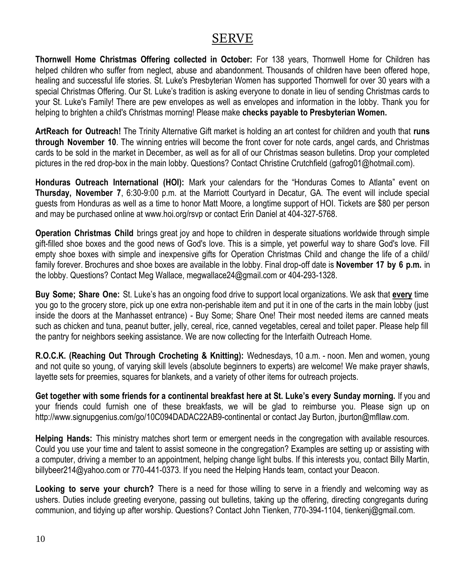# SERVE

**Thornwell Home Christmas Offering collected in October:** For 138 years, Thornwell Home for Children has helped children who suffer from neglect, abuse and abandonment. Thousands of children have been offered hope, healing and successful life stories. St. Luke's Presbyterian Women has supported Thornwell for over 30 years with a special Christmas Offering. Our St. Luke's tradition is asking everyone to donate in lieu of sending Christmas cards to your St. Luke's Family! There are pew envelopes as well as envelopes and information in the lobby. Thank you for helping to brighten a child's Christmas morning! Please make **checks payable to Presbyterian Women.** 

**ArtReach for Outreach!** The Trinity Alternative Gift market is holding an art contest for children and youth that **runs through November 10**. The winning entries will become the front cover for note cards, angel cards, and Christmas cards to be sold in the market in December, as well as for all of our Christmas season bulletins. Drop your completed pictures in the red drop-box in the main lobby. Questions? Contact Christine Crutchfield (gafrog01@hotmail.com).

**Honduras Outreach International (HOI):** Mark your calendars for the "Honduras Comes to Atlanta" event on **Thursday, November 7**, 6:30-9:00 p.m. at the Marriott Courtyard in Decatur, GA. The event will include special guests from Honduras as well as a time to honor Matt Moore, a longtime support of HOI. Tickets are \$80 per person and may be purchased online at www.hoi.org/rsvp or contact Erin Daniel at 404-327-5768.

**Operation Christmas Child** brings great joy and hope to children in desperate situations worldwide through simple gift-filled shoe boxes and the good news of God's love. This is a simple, yet powerful way to share God's love. Fill empty shoe boxes with simple and inexpensive gifts for Operation Christmas Child and change the life of a child/ family forever. Brochures and shoe boxes are available in the lobby. Final drop-off date is **November 17 by 6 p.m.** in the lobby. Questions? Contact Meg Wallace, megwallace24@gmail.com or 404-293-1328.

**Buy Some; Share One:** St. Luke's has an ongoing food drive to support local organizations. We ask that **every** time you go to the grocery store, pick up one extra non-perishable item and put it in one of the carts in the main lobby (just inside the doors at the Manhasset entrance) - Buy Some; Share One! Their most needed items are canned meats such as chicken and tuna, peanut butter, jelly, cereal, rice, canned vegetables, cereal and toilet paper. Please help fill the pantry for neighbors seeking assistance. We are now collecting for the Interfaith Outreach Home.

**R.O.C.K. (Reaching Out Through Crocheting & Knitting):** Wednesdays, 10 a.m. - noon. Men and women, young and not quite so young, of varying skill levels (absolute beginners to experts) are welcome! We make prayer shawls, layette sets for preemies, squares for blankets, and a variety of other items for outreach projects.

**Get together with some friends for a continental breakfast here at St. Luke's every Sunday morning.** If you and your friends could furnish one of these breakfasts, we will be glad to reimburse you. Please sign up on http://www.signupgenius.com/go/10C094DADAC22AB9-continental or contact Jay Burton, jburton@mfllaw.com.

**Helping Hands:** This ministry matches short term or emergent needs in the congregation with available resources. Could you use your time and talent to assist someone in the congregation? Examples are setting up or assisting with a computer, driving a member to an appointment, helping change light bulbs. If this interests you, contact Billy Martin, billybeer214@yahoo.com or 770-441-0373. If you need the Helping Hands team, contact your Deacon.

**Looking to serve your church?** There is a need for those willing to serve in a friendly and welcoming way as ushers. Duties include greeting everyone, passing out bulletins, taking up the offering, directing congregants during communion, and tidying up after worship. Questions? Contact John Tienken, 770-394-1104, tienkenj@gmail.com.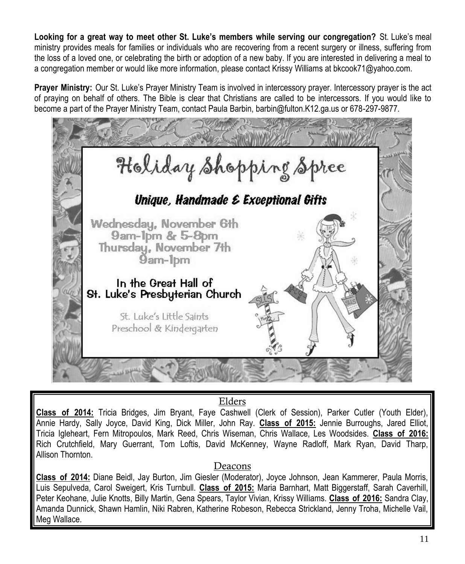**Looking for a great way to meet other St. Luke's members while serving our congregation?** St. Luke's meal ministry provides meals for families or individuals who are recovering from a recent surgery or illness, suffering from the loss of a loved one, or celebrating the birth or adoption of a new baby. If you are interested in delivering a meal to a congregation member or would like more information, please contact Krissy Williams at bkcook71@yahoo.com.

**Prayer Ministry:** Our St. Luke's Prayer Ministry Team is involved in intercessory prayer. Intercessory prayer is the act of praying on behalf of others. The Bible is clear that Christians are called to be intercessors. If you would like to become a part of the Prayer Ministry Team, contact Paula Barbin, barbin@fulton.K12.ga.us or 678-297-9877.



# Elders

**Class of 2014:** Tricia Bridges, Jim Bryant, Faye Cashwell (Clerk of Session), Parker Cutler (Youth Elder), Annie Hardy, Sally Joyce, David King, Dick Miller, John Ray. **Class of 2015:** Jennie Burroughs, Jared Elliot, Tricia Igleheart, Fern Mitropoulos, Mark Reed, Chris Wiseman, Chris Wallace, Les Woodsides. **Class of 2016:**  Rich Crutchfield, Mary Guerrant, Tom Loftis, David McKenney, Wayne Radloff, Mark Ryan, David Tharp, Allison Thornton.

## Deacons

**Class of 2014:** Diane Beidl, Jay Burton, Jim Giesler (Moderator), Joyce Johnson, Jean Kammerer, Paula Morris, Luis Sepulveda, Carol Sweigert, Kris Turnbull. **Class of 2015:** Maria Barnhart, Matt Biggerstaff, Sarah Caverhill, Peter Keohane, Julie Knotts, Billy Martin, Gena Spears, Taylor Vivian, Krissy Williams. **Class of 2016:** Sandra Clay, Amanda Dunnick, Shawn Hamlin, Niki Rabren, Katherine Robeson, Rebecca Strickland, Jenny Troha, Michelle Vail, Meg Wallace.